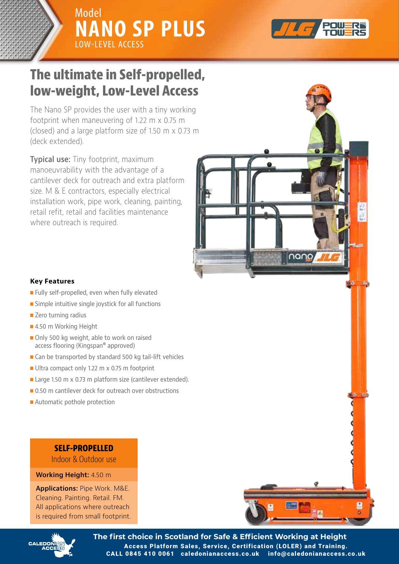



# **Simply the most versatile Low-Level The ultimate in Self-propelled, low-weight, Low-Level Access**

The Nano SP provides the user with a tiny working footprint when maneuvering of 1.22 m x 0.75 m (closed) and a large platform size of 1.50 m x 0.73 m (deck extended).

outreach with cantilever extended. manoeuvrability with the advantage of a cantilever deck for outreach and extra platform size. M  $\&$   $E$  contractors, especially electrical installation work, pipe work, cleaning, painting, retail refit, retail and facilities maintenance where outreach is required. **Typical use:** Tiny footprint, maximum



- and numerous other restricted and a stricted state of the stricted state of the stricted state of the stricted  $\blacksquare$  Fully self-propelled, even when fully elevated
- $\blacksquare$  Simple intuitive single joystick for all functions
- $\blacksquare$  Zero turning radius
- 4.50 m Working Height
- Only 500 kg weight, able to work on raised access flooring (Kingspan® approved)
- Can be transported by standard 500 kg tail-lift vehicles
- **Notal Ultra compact only 1.22 m x 0.75 m footprint**
- Large 1.50 m x 0.73 m platform size (cantilever extended).
- 0.50 m cantilever deck for outreach over obstructions
- **n** Automatic pothole protection

# **SELF-PROPELLED**

**SELF-PROPERTY** Indoor & Outdoor use

## **Working Height:** 4.50 m

**All applications where outreach** Manupper control in the result of the state of the state of the state of the state of the state of the state of the state of the state of the state of the state of the state of the state of the state of the state of the st is required from small footprint. **Applications:** Pipe Work. M&E. Cleaning. Painting. Retail. FM.



nano,



**The first choice in Scotland for Safe & Efficient Working at Height** Access Platform Sales, Service, Certification (LOLER) and Training. CALL 0845 410 0061 caledonianaccess.co.uk info@caledonianaccess.co.uk